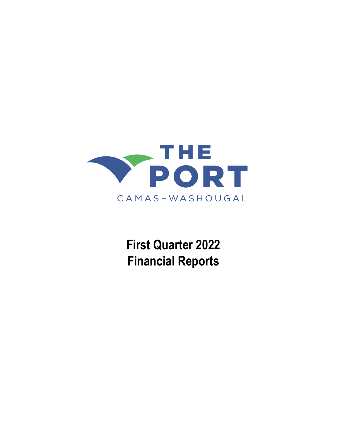

 **First Quarter 2022 Financial Reports**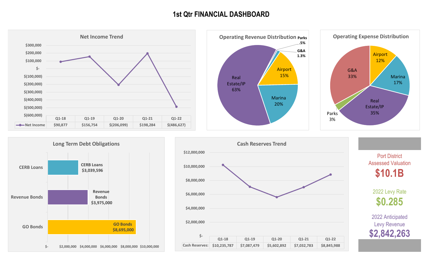# **1st Qtr FINANCIAL DASHBOARD**











2022 Levy Rate **\$0.285** Port District Assessed Valuation **\$10.1B**

2022 Anticipated Levy Revenue **\$2,842,263**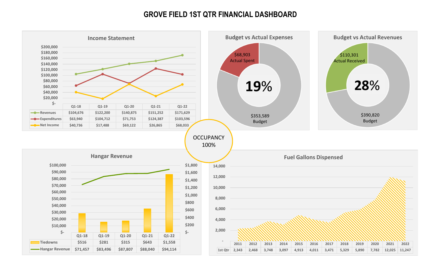# **GROVE FIELD 1ST QTR FINANCIAL DASHBOARD**

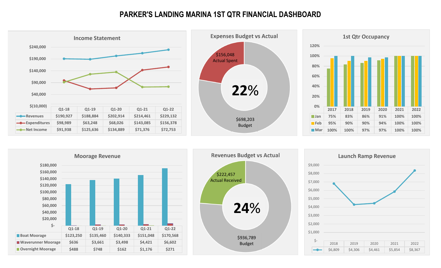# **PARKER'S LANDING MARINA 1ST QTR FINANCIAL DASHBOARD**







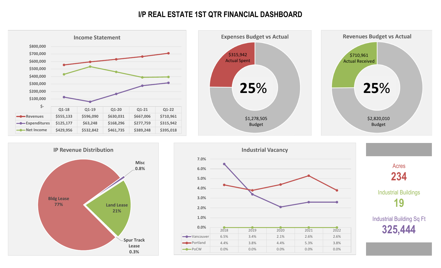# **I/P REAL ESTATE 1ST QTR FINANCIAL DASHBOARD**

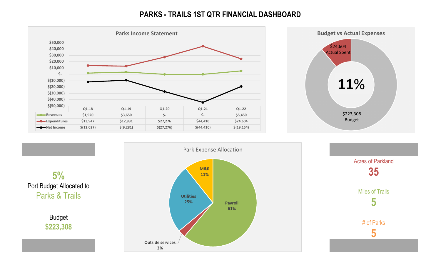# **PARKS - TRAILS 1ST QTR FINANCIAL DASHBOARD**





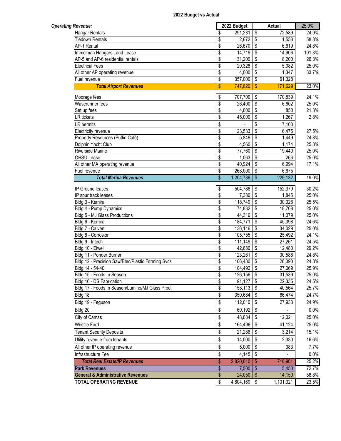| <b>Operating Revenue:</b>                                            |                                                         | 2022 Budget       |                                        | Actual               | 25.0%          |
|----------------------------------------------------------------------|---------------------------------------------------------|-------------------|----------------------------------------|----------------------|----------------|
| <b>Hangar Rentals</b>                                                | \$                                                      | 291,231           | $\overline{\boldsymbol{\mathfrak{s}}}$ | 72,589               | 24.9%          |
| <b>Tiedown Rentals</b>                                               | \$                                                      | $2,672$ \$        |                                        | 1,558                | 58.3%          |
| AP-1 Rental                                                          | \$                                                      | 26,670            | l \$                                   | 6,619                | 24.8%          |
| Immelman Hangars Land Lease                                          | $\overline{\$}$                                         | $14,719$ \$       |                                        | 14,906               | 101.3%         |
| AP-5 and AP-6 residential rentals                                    | $\overline{\$}$                                         | 31,200            | $\overline{1}$                         | 8,200                | 26.3%          |
| <b>Electrical Fees</b>                                               | $\overline{\$}$                                         | 20,328            | \$                                     | 5,082                | 25.0%          |
| All other AP operating revenue                                       | $\overline{\mathbf{S}}$                                 | 4,000             | l \$                                   | 1,347                | 33.7%          |
| Fuel revenue                                                         | $\overline{\boldsymbol{\mathsf{s}}}$                    | 357,000           | $\overline{1}$                         | 61,328               |                |
| <b>Total Airport Revenues</b>                                        | $\frac{1}{2}$                                           | 747,820           | $\sqrt{3}$                             | 171,629              | 23.0%          |
| Moorage fees                                                         | \$                                                      | 707,700           | $\sqrt{3}$                             | 170,839              | 24.1%          |
| Waverunner fees                                                      | \$                                                      | 26,400            | $\overline{\mathfrak{s}}$              | 6,602                | 25.0%          |
| Set up fees                                                          | \$                                                      | 4,000             | \$                                     | 850                  | 21.3%          |
| <b>LR</b> tickets                                                    | \$                                                      | 45,000            | \$                                     | 1,267                | 2.8%           |
| LR permits                                                           | \$                                                      |                   | \$                                     | 7,100                |                |
| Electricity revenue                                                  | $\overline{\$}$                                         | 23,533            | $\overline{\mathsf{s}}$                | 6,475                | 27.5%          |
| Property Resources (Puffin Café)                                     | $\overline{\$}$                                         | 5,849             | \$                                     | 1,449                | 24.8%          |
| Dolphin Yacht Club                                                   | \$                                                      | 4,560             | \$                                     | 1,174                | 25.8%          |
| Riverside Marine                                                     | $\overline{\boldsymbol{\mathsf{s}}}$                    | 77,760            | \$                                     | 19,440               | 25.0%          |
| OHSU Lease                                                           | $\overline{\$}$                                         | 1,063             | \$                                     | 266                  | 25.0%          |
| All other MA operating revenue                                       | \$                                                      | 40,924            | \$                                     | 6,994                | 17.1%          |
| Fuel revenue                                                         | \$                                                      | 268,000           | $\sqrt{3}$                             | 6,675                |                |
| <b>Total Marina Revenues</b>                                         | $\overline{\$}$                                         | 1,204,789         | $\overline{\mathcal{S}}$               | 229,132              | 19.0%          |
|                                                                      |                                                         |                   |                                        |                      |                |
| IP Ground leases                                                     | \$                                                      | 504,786 \$        |                                        | 152,379              | 30.2%          |
| IP spur track leases                                                 | $\overline{\mathsf{s}}$                                 | 7,380             | $\overline{\mathbf{3}}$                | 1,845                | 25.0%          |
| Bldg 3 - Kemira                                                      | \$                                                      | 118,749           | l \$                                   | 30,328               | 25.5%          |
| Bldg 4 - Pump Dynamics                                               | \$                                                      | 74,832            | \$                                     | 18,708               | 25.0%          |
| Bldg 5 - MJ Glass Productions                                        | \$                                                      | 44,316 \$         |                                        | 11,079               | 25.0%          |
| Bldg 6 - Kemira                                                      | \$                                                      | 184,771           | \$                                     | 45,398               | 24.6%          |
| Bldg 7 - Calvert                                                     | \$                                                      | 136,116           | l \$                                   | 34,029               | 25.0%          |
| Bldg 8 - Corrosion                                                   | $\overline{\boldsymbol{\mathsf{s}}}$                    | 105,755           | l \$<br>ه                              | 25,492               | 24.1%          |
| Bldg 9 - Intech<br>Bldg 10 - Elwell                                  | $\overline{\$}$<br>$\overline{\boldsymbol{\mathsf{s}}}$ | 111,149<br>42,680 | $\mathbf{\hat{s}}$                     | 27,261<br>12,480     | 24.5%<br>29.2% |
| Bldg 11 - Ponder Burner                                              | $\overline{\$}$                                         | 123,261           | $\overline{\mathbf{3}}$                | 30,586               | 24.8%          |
|                                                                      | $\overline{\$}$                                         | 106,430           | $\sqrt{3}$                             | 26,390               | 24.8%          |
| Bldg 12 - Precision Saw/Etec/Plastic Forming Svcs<br>Bldg 14 - 54-40 | $\overline{\$}$                                         | $104,492$ \$      |                                        | 27,069               | 25.9%          |
| Bldg 15 - Foods In Season                                            | $\overline{\$}$                                         | $126, 156$ \$     |                                        | 31,539               | 25.0%          |
| Bldg 16 - DS Fabrication                                             | $\overline{\$}$                                         | 91,127            | ls                                     | $\overline{2}$ 2,335 | 24.5%          |
| Bldg 17 - Foods In Season/Lumino/MJ Glass Prod.                      | \$                                                      | 158,113           | \$                                     | 40,564               | 25.7%          |
| Bldg 18                                                              | \$                                                      | 350,684 \$        |                                        | 86,474               | 24.7%          |
|                                                                      |                                                         |                   |                                        |                      |                |
| Bldg 19 - Feguson                                                    | \$                                                      | 112,010           | \$                                     | 27,933               | 24.9%          |
| Bldg 20                                                              | \$                                                      | 60,192            | \$                                     |                      | 0.0%           |
| City of Camas                                                        | \$                                                      | 48,084            | \$                                     | 12,021               | 25.0%          |
| <b>Westlie Ford</b>                                                  | \$                                                      | 164,496           | $\sqrt{3}$                             | 41,124               | 25.0%          |
| <b>Tenant Security Deposits</b>                                      | \$                                                      | 21,286            | $\sqrt{3}$                             | 3,214                | 15.1%          |
| Utility revenue from tenants                                         | \$                                                      | 14,000            | \$                                     | 2,330                | 16.6%          |
| All other IP operating revenue                                       | \$                                                      | 5,000             | \$                                     | 383                  | 7.7%           |
| Infrastructure Fee                                                   | \$                                                      | 4,145             | \$                                     |                      | 0.0%           |
| <b>Total Real Estate/IP Revenues</b>                                 | \$                                                      | 2,820,010         | -\$                                    | 710,961              | 25.2%          |
| <b>Park Revenues</b>                                                 | \$                                                      | $7,500$   \$      |                                        | 5,450                | 72.7%          |
| <b>General &amp; Administrative Revenues</b>                         | \$                                                      | $24,050$   \$     |                                        | 14,150               | 58.8%          |
| <b>TOTAL OPERATING REVENUE</b>                                       | \$                                                      | 4,804,169 \$      |                                        | 1,131,321            | 23.5%          |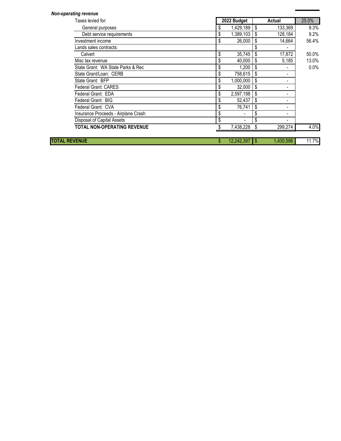| <b>Non-operating revenue</b>        |                 |    |           |         |
|-------------------------------------|-----------------|----|-----------|---------|
| Taxes levied for:                   | 2022 Budget     |    | Actual    | 25.0%   |
| General purposes                    | 1,429,189       | S  | 133,369   | 9.3%    |
| Debt service requirements           | 1,389,103<br>\$ | \$ | 128,184   | 9.2%    |
| Investment income                   | 26,000<br>\$    | S  | 14,664    | 56.4%   |
| Lands sales contracts:              |                 |    |           |         |
| Calvert                             | 35,745<br>\$    | S  | 17,872    | 50.0%   |
| Misc tax revenue                    | \$<br>40,000    | \$ | 5,185     | 13.0%   |
| State Grant: WA State Parks & Rec   | \$<br>1,200     | S  |           | $0.0\%$ |
| State Grant/Loan: CERB              | 758,615<br>\$   | S  | ٠         |         |
| State Grant: BFP                    | 1,000,000<br>\$ |    | ٠         |         |
| <b>Federal Grant: CARES</b>         | 32,000<br>\$    | \$ | ٠         |         |
| Federal Grant: EDA                  | \$<br>2,597,198 |    |           |         |
| Federal Grant: BIG                  | 52,437<br>\$    | \$ |           |         |
| Federal Grant: CVA                  | 76,741<br>\$    | S  |           |         |
| Insurance Proceeds - Airplane Crash | \$              | \$ |           |         |
| Disposal of Capital Assets          |                 | \$ |           |         |
| <b>TOTAL NON-OPERATING REVENUE</b>  | 7,438,228       |    | 299,274   | 4.0%    |
| <b>TOTAL REVENUE</b>                | 12,242,397      | S  | 1,430,596 | 11.7%   |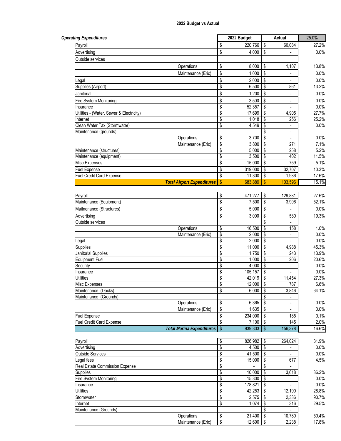| <b>Operating Expenditures</b>                |                         | 2022 Budget |                                        | Actual                      | 25.0% |
|----------------------------------------------|-------------------------|-------------|----------------------------------------|-----------------------------|-------|
| Payroll                                      | \$                      | 220,766     | S                                      | 60,084                      | 27.2% |
| Advertising                                  | \$                      | 4,000       | -\$                                    | $\blacksquare$              | 0.0%  |
| Outside services                             |                         |             |                                        |                             |       |
| Operations                                   | \$                      | 8,000       | $\sqrt[6]{\frac{1}{2}}$                | 1,107                       | 13.8% |
| Maintenance (Eric)                           | \$                      | 1,000       | \$                                     |                             | 0.0%  |
| Legal                                        | \$                      | 2,000       | \$                                     |                             | 0.0%  |
| Supplies (Airport)                           | \$                      | 6,500       | \$                                     | 861                         | 13.2% |
| Janitorial                                   | \$                      | 1,200       | \$                                     |                             | 0.0%  |
| Fire System Monitoring                       | \$                      | 3,500       | \$                                     |                             | 0.0%  |
| Insurance                                    | \$                      | 52,357      | \$                                     |                             | 0.0%  |
| Utilities - (Water, Sewer & Electricity)     | \$                      | 17,699      | \$                                     | 4,905                       | 27.7% |
| Internet                                     | \$                      | 1,018       | \$                                     | 256                         | 25.2% |
| Clean Water Tax (Stormwater)                 | \$                      | 4,549       | \$                                     |                             | 0.0%  |
| Maintenance (grounds)                        |                         |             | \$                                     | ÷.                          |       |
| Operations                                   | \$                      | 3,700       | \$                                     | $\overline{\phantom{a}}$    | 0.0%  |
| Maintenance (Eric)                           | \$                      | 3,800       | \$                                     | 271                         | 7.1%  |
| Maintenance (structures)                     | \$                      | 5,000       | \$                                     | 258                         | 5.2%  |
| Maintenance (equipment)                      | \$                      | 3,500       | \$                                     | 402                         | 11.5% |
| Misc Expenses                                | \$                      | 15,000      | \$                                     | 759                         | 5.1%  |
| Fuel Expense                                 | $\overline{\mathsf{s}}$ | 319,000     | \$                                     | 32,707                      | 10.3% |
| Fuel Credit Card Expense                     | \$                      | 11,300      | \$                                     | 1,986                       | 17.6% |
| <b>Total Airport Expenditures</b>            | $\boldsymbol{\$}$       | 683,889     | <b>S</b>                               | 103,596                     | 15.1% |
|                                              |                         |             |                                        |                             |       |
| Payroll                                      | \$                      | 471,277     | \$                                     | 129,881                     | 27.6% |
| Maintenance (Equipment)                      | \$                      | 7,500       | \$                                     | 3,906                       | 52.1% |
| Maitnenance (Structures)                     | \$                      | 5,000       | \$                                     |                             | 0.0%  |
| Advertising                                  | \$                      | 3,000       | \$                                     | 580                         | 19.3% |
| Outside services                             |                         |             | \$                                     |                             |       |
| Operations                                   | \$                      | 16,500      | \$                                     | 158                         | 1.0%  |
| Maintenance (Eric)                           | $\overline{\$}$         | 2,000       | $\overline{\mathfrak{s}}$              | ÷.                          | 0.0%  |
| Legal                                        | $\overline{\$}$         | 2,000       | $\overline{\boldsymbol{\mathfrak{s}}}$ |                             | 0.0%  |
| Supplies                                     | \$                      | 11,000      | \$                                     | 4,988                       | 45.3% |
| Janitorial Supplies                          | \$                      | 1,750       | \$                                     | 243                         | 13.9% |
| <b>Equipment Fuel</b>                        | \$                      | 1,000       | \$                                     | 206                         | 20.6% |
| Security                                     | \$                      | 4,000       | \$                                     | $\frac{1}{2}$               | 0.0%  |
| Insurance                                    | \$                      | 105,157     | \$                                     | $\overline{a}$              | 0.0%  |
| <b>Utilities</b>                             | \$                      | 42,019      | \$                                     | 11,454                      | 27.3% |
| Misc Expenses                                | \$                      | $12,000$ \$ |                                        | 787                         | 6.6%  |
| Maintenance (Docks)<br>Maintenance (Grounds) | \$                      | 6,000       | \$<br>\$                               | 3,846<br>$\blacksquare$     | 64.1% |
| Operations                                   | \$                      | 6,365       | \$                                     | $\blacksquare$              | 0.0%  |
| Maintenance (Eric)                           | \$                      | 1,635       | -\$                                    | $\blacksquare$              | 0.0%  |
| Fuel Expense                                 | \$                      | 234,000     | \$                                     | 185                         | 0.1%  |
| <b>Fuel Credit Card Expense</b>              | \$                      | 7,100       | -\$                                    | 145                         | 2.0%  |
| <b>Total Marina Expenditures</b>             | \$                      | 939,303     | $\boldsymbol{\mathsf{S}}$              | 156,378                     | 16.6% |
|                                              |                         |             |                                        |                             |       |
| Payroll                                      | \$                      | 826,982     | \$                                     | 264,024                     | 31.9% |
| Advertising                                  | \$                      | 4,500       | \$                                     |                             | 0.0%  |
| <b>Outside Services</b>                      | \$                      | 41,500      | \$                                     | $\mathcal{L}^{\mathcal{A}}$ | 0.0%  |
| Legal fees                                   | \$                      | 15,000      | \$                                     | 677                         | 4.5%  |
| Real Estate Commission Expense               | \$                      |             | \$                                     |                             |       |
| Supplies                                     | \$                      | 10,000      | \$                                     | 3,618                       | 36.2% |
| Fire System Monitoring                       | \$                      | 15,300      | \$                                     | $\blacksquare$              | 0.0%  |
| Insurance                                    | \$                      | 178,821     | \$                                     |                             | 0.0%  |
| <b>Utilities</b>                             | \$                      | 42,253      | \$                                     | 12,190                      | 28.8% |
| Stormwater                                   | \$                      | 2,575       | \$                                     | 2,336                       | 90.7% |
| Internet                                     | \$                      | 1,074       | \$                                     | 316                         | 29.5% |
| Maintenance (Grounds)                        |                         |             | \$                                     |                             |       |
| Operations                                   | \$                      | 21,400      | \$                                     | 10,780                      | 50.4% |
| Maintenance (Eric)                           | \$                      | 12,600      | \$                                     | 2,238                       | 17.8% |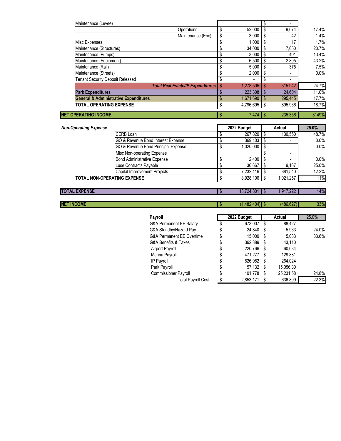| Maintenance (Levee)                              |                 |               |         |         |
|--------------------------------------------------|-----------------|---------------|---------|---------|
| Operations                                       | \$<br>52,000    | \$            | 9,074   | 17.4%   |
| Maintenance (Eric)                               | \$<br>3.000     | \$            | 42      | 1.4%    |
| Misc Expenses                                    | \$<br>1,000     | \$            | 17      | 1.7%    |
| Maintenance (Structures)                         | \$<br>34,000    | S             | 7,050   | 20.7%   |
| Maintenance (Pumps)                              | \$<br>3,000     | \$            | 401     | 13.4%   |
| Maintenance (Equipment)                          | \$<br>6.500     | \$            | 2,805   | 43.2%   |
| Maintenance (Rail)                               | \$<br>5,000     | S             | 375     | 7.5%    |
| Maintenance (Streets)                            | 2,000           | \$            |         | $0.0\%$ |
| <b>Tenant Security Deposit Released</b>          | \$<br>۰.        |               |         |         |
| <b>Total Real Estate/IP Expenditures</b>         | \$<br>1,278,505 | S             | 315.942 | 24.7%   |
| <b>Park Expenditures</b>                         | 223.308         | $\mathbf{\$}$ | 24.604  | 11.0%   |
| <b>General &amp; Administrative Expenditures</b> | \$<br>1,671,690 | -\$           | 295.445 | 17.7%   |
| <b>TOTAL OPERATING EXPENSE</b>                   | 4,796,695       | \$            | 895,966 | 18.7%   |
| <b>NET OPERATING INCOME</b>                      | \$              |               | 235.356 | 3149%   |
|                                                  |                 |               |         |         |

| <b>Non-Operating Expense</b>       |                                     | 2022 Budget | Actual    | 25.0%   |
|------------------------------------|-------------------------------------|-------------|-----------|---------|
|                                    | CERB Loan                           | 267,820     | 130,550   | 48.7%   |
|                                    | GO & Revenue Bond Interest Expense  | 369,103     |           | 0.0%    |
|                                    | GO & Revenue Bond Principal Expense | 1,020,000   | -         | $0.0\%$ |
|                                    | Misc Non-operating Expense          |             |           |         |
|                                    | <b>Bond Administrative Expense</b>  | 2,400       | -         | 0.0%    |
|                                    | Luse Contracts Payable              | 36,667      | 9.167     | 25.0%   |
|                                    | <b>Capital Improvement Projects</b> | 7,232,116   | 881,540   | 12.2%   |
| <b>TOTAL NON-OPERATING EXPENSE</b> |                                     | 8,928,106   | 1,021,257 | 11%     |
|                                    |                                     |             |           |         |
| <b>TOTAL EXPENSE</b>               |                                     | 13,724,801  | 1,917,222 | 14%     |

**NET INCOME** 33%

| Payroll                              |    | 2022 Budget |     | Actual    | 25.0% |
|--------------------------------------|----|-------------|-----|-----------|-------|
| G&A Permanent EE Salary              | S  | 673,007     | \$  | 88,427    |       |
| G&A Standby/Hazard Pay               | \$ | 24.840      | S   | 5.963     | 24.0% |
| <b>G&amp;A Permanent EE Overtime</b> | \$ | 15.000      | S   | 5,033     | 33.6% |
| G&A Benefits & Taxes                 | \$ | 362,389     | S   | 43,110    |       |
| Airport Payroll                      | \$ | 220,766     | S   | 60.084    |       |
| Marina Payroll                       | \$ | 471.277     | \$. | 129,881   |       |
| IP Payroll                           | \$ | 826.982     | S   | 264,024   |       |
| Park Payroll                         | \$ | 157,132     | S   | 15,056.30 |       |
| <b>Commissioner Payroll</b>          | \$ | 101,778     | S   | 25,231.58 | 24.8% |
| <b>Total Payroll Cost</b>            | ፍ  | 2,853,171   |     | 636,809   | 22.3% |
|                                      |    |             |     |           |       |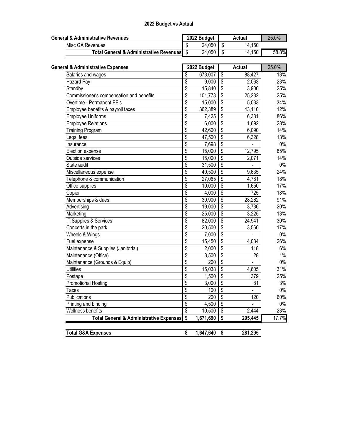| <b>General &amp; Administrative Revenues</b>       |                         | 2022 Budget |                                        | <b>Actual</b>  | 25.0% |
|----------------------------------------------------|-------------------------|-------------|----------------------------------------|----------------|-------|
| Misc GA Revenues                                   | \$                      | 24,050      | \$                                     | 14,150         |       |
| <b>Total General &amp; Administrative Revenues</b> | $\overline{\mathbb{S}}$ | 24,050      | \$                                     | 14,150         | 58.8% |
| <b>General &amp; Administrative Expenses</b>       |                         | 2022 Budget |                                        | <b>Actual</b>  | 25.0% |
|                                                    | \$                      | 673,007     | $\overline{\mathcal{S}}$               | 88,427         | 13%   |
| Salaries and wages<br>Hazard Pay                   | \$                      | 9,000       | $\overline{\mathbf{S}}$                | 2,063          | 23%   |
| Standby                                            | \$                      | 15,840      | $\overline{\mathbf{s}}$                | 3,900          | 25%   |
| Commissioner's compensation and benefits           | \$                      | 101,778     | $\overline{\$}$                        | 25,232         | 25%   |
| Overtime - Permanent EE's                          | \$                      | 15,000      | $\overline{\$}$                        | 5,033          | 34%   |
|                                                    | \$                      |             | $\overline{\mathbf{S}}$                |                | 12%   |
| Employee benefits & payroll taxes                  |                         | 362,389     |                                        | 43,110         |       |
| Employee Uniforms                                  | \$                      | 7,425       | $\overline{\$}$                        | 6,381          | 86%   |
| <b>Employee Relations</b>                          | \$                      | 6,000       | $\overline{\$}$                        | 1,692          | 28%   |
| <b>Training Program</b>                            | \$                      | 42,600      | $\overline{\$}$                        | 6,090          | 14%   |
| Legal fees                                         | \$                      | 47,500      | $\sqrt[6]{\frac{1}{2}}$                | 6,328          | 13%   |
| Insurance                                          | $\overline{\$}$         | 7,698       | \$                                     |                | $0\%$ |
| Election expense                                   | \$                      | 15,000      | $\sqrt[6]{\frac{1}{2}}$                | 12,795         | 85%   |
| Outside services                                   | \$                      | 15,000      | $\overline{\$}$                        | 2,071          | 14%   |
| State audit                                        | \$                      | 31,500      | $\overline{\$}$                        |                | $0\%$ |
| Miscellaneous expense                              | \$                      | 40,500      | $\overline{\$}$                        | 9,635          | 24%   |
| Telephone & communication                          | \$                      | 27,065      | $\overline{\$}$                        | 4,781          | 18%   |
| Office supplies                                    | \$                      | 10,000      | $\overline{\$}$                        | 1,650          | 17%   |
| Copier                                             | \$                      | 4,000       | $\overline{\$}$                        | 725            | 18%   |
| Memberships & dues                                 | \$                      | 30,900      | $\overline{\$}$                        | 28,262         | 91%   |
| Advertising                                        | \$                      | 19,000      | $\overline{\$}$                        | 3,736          | 20%   |
| Marketing                                          | \$                      | 25,000      | $\overline{\$}$                        | 3,225          | 13%   |
| IT Supplies & Services                             | \$                      | 82,000      | $\overline{\$}$                        | 24,941         | 30%   |
| Concerts in the park                               | $\overline{\$}$         | 20,500      | $\overline{\$}$                        | 3,560          | 17%   |
| Wheels & Wings                                     | \$                      | 7,000       | $\overline{\$}$                        |                | $0\%$ |
| Fuel expense                                       | \$                      | 15,450      | $\overline{\$}$                        | 4,034          | 26%   |
| Maintenance & Supplies (Janitorial)                | \$                      | 2,000       | $\overline{\mathsf{s}}$                | 118            | 6%    |
| Maintenance (Office)                               | \$                      | 3,500       | $\overline{\$}$                        | 28             | 1%    |
| Maintenance (Grounds & Equip)                      | \$                      | 200         | $\overline{\boldsymbol{\mathfrak{s}}}$ | $\blacksquare$ | $0\%$ |
| <b>Utilities</b>                                   | \$                      | 15,038      | $\overline{\$}$                        | 4,605          | 31%   |
| Postage                                            | \$                      | 1,500       | $\overline{\$}$                        | 379            | 25%   |
| <b>Promotional Hosting</b>                         | $\overline{\$}$         | 3,000       | $\overline{\$}$                        | 81             | 3%    |
| Taxes                                              | \$                      | 100         | \$                                     |                | $0\%$ |
| Publications                                       | \$                      | 200         | \$                                     | 120            | 60%   |
| Printing and binding                               | \$                      | 4,500       | $\overline{\$}$                        |                | $0\%$ |
| Wellness benefits                                  | \$                      | 10,500      | $\overline{\mathcal{S}}$               | 2,444          | 23%   |
| <b>Total General &amp; Administrative Expenses</b> | \$                      | 1,671,690   | \$                                     | 295,445        | 17.7% |
|                                                    |                         |             |                                        |                |       |
| <b>Total G&amp;A Expenses</b>                      | \$                      | 1,647,640   | $\sqrt[6]{3}$                          | 281,295        |       |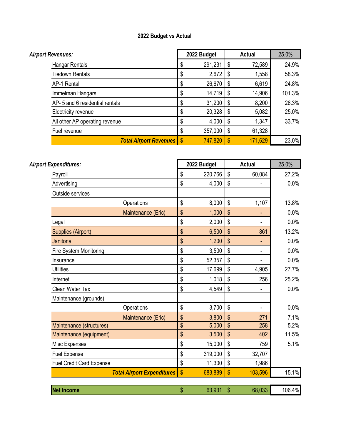| <b>Airport Revenues:</b>        |             | 2022 Budget | <b>Actual</b> | 25.0%  |
|---------------------------------|-------------|-------------|---------------|--------|
| Hangar Rentals                  | S           | 291,231     | 72,589        | 24.9%  |
| Tiedown Rentals                 | \$          | 2,672       | 1,558         | 58.3%  |
| AP-1 Rental                     | \$          | 26,670      | 6,619         | 24.8%  |
| Immelman Hangars                | S           | 14,719      | 14,906        | 101.3% |
| AP- 5 and 6 residential rentals | \$          | 31,200      | 8,200         | 26.3%  |
| Electricity revenue             | \$          | 20,328      | 5,082         | 25.0%  |
| All other AP operating revenue  | \$          | 4,000       | 1,347         | 33.7%  |
| Fuel revenue                    | \$          | 357,000     | 61,328        |        |
| <b>Total Airport Revenues</b>   | <b>1 \$</b> | 747,820     | 171,629       | 23.0%  |

| <b>Airport Expenditures:</b>    |                                   |                         | 2022 Budget |               | <b>Actual</b> | 25.0%  |
|---------------------------------|-----------------------------------|-------------------------|-------------|---------------|---------------|--------|
| Payroll                         |                                   | \$                      | 220,766     | \$            | 60,084        | 27.2%  |
| Advertising                     |                                   | \$                      | 4,000       | \$            |               | 0.0%   |
| Outside services                |                                   |                         |             |               |               |        |
|                                 | Operations                        | \$                      | 8,000       | \$            | 1,107         | 13.8%  |
|                                 | Maintenance (Eric)                | \$                      | 1,000       | \$            |               | 0.0%   |
| Legal                           |                                   | \$                      | 2,000       | \$            |               | 0.0%   |
| <b>Supplies (Airport)</b>       |                                   | \$                      | 6,500       | \$            | 861           | 13.2%  |
| <b>Janitorial</b>               |                                   | $\sqrt[6]{\frac{1}{2}}$ | 1,200       | $\mathsf{\$}$ |               | 0.0%   |
| Fire System Monitoring          |                                   | \$                      | 3,500       | \$            | -             | 0.0%   |
| Insurance                       |                                   | \$                      | 52,357      | $\mathbb{S}$  |               | 0.0%   |
| <b>Utilities</b>                |                                   | \$                      | 17,699      | \$            | 4,905         | 27.7%  |
| Internet                        |                                   | \$                      | 1,018       | \$            | 256           | 25.2%  |
| Clean Water Tax                 |                                   | \$                      | 4,549       | \$            |               | 0.0%   |
| Maintenance (grounds)           |                                   |                         |             |               |               |        |
|                                 | Operations                        | \$                      | 3,700       | \$            | -             | 0.0%   |
|                                 | Maintenance (Eric)                | \$                      | 3,800       | \$            | 271           | 7.1%   |
| Maintenance (structures)        |                                   | \$                      | 5,000       | \$            | 258           | 5.2%   |
| Maintenance (equipment)         |                                   | \$                      | 3,500       | \$            | 402           | 11.5%  |
| Misc Expenses                   |                                   | \$                      | 15,000      | \$            | 759           | 5.1%   |
| <b>Fuel Expense</b>             |                                   | \$                      | 319,000     | \$            | 32,707        |        |
| <b>Fuel Credit Card Expense</b> |                                   | \$                      | 11,300      | \$            | 1,986         |        |
|                                 | <b>Total Airport Expenditures</b> | \$                      | 683,889     | \$            | 103,596       | 15.1%  |
|                                 |                                   |                         |             |               |               |        |
| <b>Net Income</b>               |                                   | \$                      | 63,931      | \$            | 68,033        | 106.4% |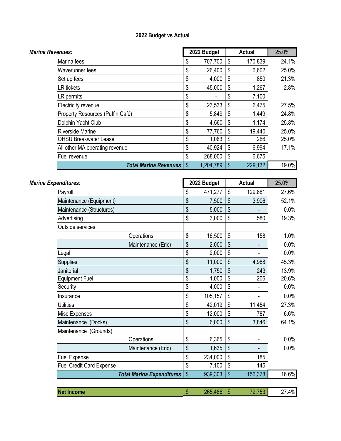| Marina Revenues:                 | 2022 Budget     |    | <b>Actual</b> | 25.0% |
|----------------------------------|-----------------|----|---------------|-------|
| Marina fees                      | \$<br>707,700   | \$ | 170,839       | 24.1% |
| Waverunner fees                  | \$<br>26,400    | \$ | 6,602         | 25.0% |
| Set up fees                      | \$<br>4,000     | \$ | 850           | 21.3% |
| LR tickets                       | \$<br>45,000    | \$ | 1,267         | 2.8%  |
| LR permits                       | \$              | S  | 7,100         |       |
| Electricity revenue              | \$<br>23,533    | \$ | 6,475         | 27.5% |
| Property Resources (Puffin Café) | \$<br>5,849     | \$ | 1,449         | 24.8% |
| Dolphin Yacht Club               | \$<br>4,560     | \$ | 1,174         | 25.8% |
| <b>Riverside Marine</b>          | \$<br>77,760    | \$ | 19,440        | 25.0% |
| <b>OHSU Breakwater Lease</b>     | \$<br>1,063     | \$ | 266           | 25.0% |
| All other MA operating revenue   | \$<br>40,924    | \$ | 6,994         | 17.1% |
| Fuel revenue                     | \$<br>268,000   | \$ | 6,675         |       |
| <b>Total Marina Revenues</b>     | \$<br>1,204,789 | \$ | 229,132       | 19.0% |

| Marina Expenditures:            |                                  |                 | 2022 Budget |                 | <b>Actual</b>            | 25.0% |
|---------------------------------|----------------------------------|-----------------|-------------|-----------------|--------------------------|-------|
| Payroll                         |                                  | \$              | 471,277     | \$              | 129,881                  | 27.6% |
| Maintenance (Equipment)         |                                  | \$              | 7,500       | \$              | 3,906                    | 52.1% |
| Maintenance (Structures)        |                                  | \$              | 5,000       | \$              |                          | 0.0%  |
| Advertising                     |                                  | \$              | 3,000       | \$              | 580                      | 19.3% |
| Outside services                |                                  |                 |             |                 |                          |       |
|                                 | Operations                       | \$              | 16,500      | \$              | 158                      | 1.0%  |
|                                 | Maintenance (Eric)               | \$              | 2,000       | \$              | ۰                        | 0.0%  |
| Legal                           |                                  | \$              | 2,000       | \$              | $\overline{\phantom{a}}$ | 0.0%  |
| Supplies                        |                                  | \$              | 11,000      | \$              | 4,988                    | 45.3% |
| Janitorial                      |                                  | \$              | 1,750       | \$              | 243                      | 13.9% |
| <b>Equipment Fuel</b>           |                                  | $\overline{\$}$ | 1,000       | $\overline{\$}$ | 206                      | 20.6% |
| Security                        |                                  | \$              | 4,000       | \$              | $\overline{\phantom{0}}$ | 0.0%  |
| Insurance                       |                                  | \$              | 105,157     | \$              | $\overline{\phantom{m}}$ | 0.0%  |
| <b>Utilities</b>                |                                  | \$              | 42,019      | \$              | 11,454                   | 27.3% |
| Misc Expenses                   |                                  | \$              | 12,000      | \$              | 787                      | 6.6%  |
| Maintenance (Docks)             |                                  | \$              | 6,000       | \$              | 3,846                    | 64.1% |
| (Grounds)<br>Maintenance        |                                  |                 |             |                 |                          |       |
|                                 | Operations                       | \$              | 6,365       | \$              | $\blacksquare$           | 0.0%  |
|                                 | Maintenance (Eric)               | \$              | 1,635       | \$              | $\overline{\phantom{a}}$ | 0.0%  |
| <b>Fuel Expense</b>             |                                  | \$              | 234,000     | \$              | 185                      |       |
| <b>Fuel Credit Card Expense</b> |                                  | \$              | 7,100       | \$              | 145                      |       |
|                                 | <b>Total Marina Expenditures</b> | \$              | 939,303     | $\mathsf{\$}$   | 156,378                  | 16.6% |
|                                 |                                  |                 |             |                 |                          |       |
| <b>Net Income</b>               |                                  | \$              | 265,486     | $\mathsf{\$}$   | 72,753                   | 27.4% |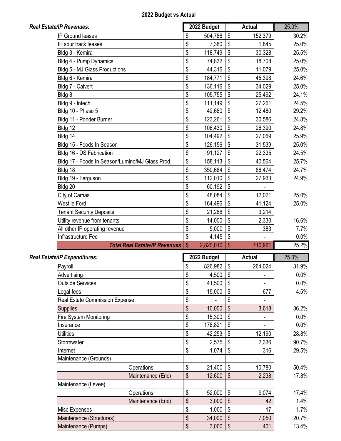| 2022 Budget vs Actual |  |  |
|-----------------------|--|--|
|-----------------------|--|--|

| <b>Real Estate/IP Revenues:</b>                 |                                       | 2022 Budget     |               | <b>Actual</b> | 25.0%          |
|-------------------------------------------------|---------------------------------------|-----------------|---------------|---------------|----------------|
| <b>IP Ground leases</b>                         | \$                                    | 504,786         | \$            | 152,379       | 30.2%          |
| IP spur track leases                            | \$                                    | 7,380           | \$            | 1,845         | 25.0%          |
| Bldg 3 - Kemira                                 | \$                                    | 118,749         | \$            | 30,328        | 25.5%          |
| Bldg 4 - Pump Dynamics                          | \$                                    | 74,832          | \$            | 18,708        | 25.0%          |
| Bldg 5 - MJ Glass Productions                   | \$                                    | 44,316          | \$            | 11,079        | 25.0%          |
| Bldg 6 - Kemira                                 | \$                                    | 184,771         | \$            | 45,398        | 24.6%          |
| Bldg 7 - Calvert                                | \$                                    | 136,116         | \$            | 34,029        | 25.0%          |
| Bldg 8                                          | \$                                    | 105,755         | \$            | 25,492        | 24.1%          |
| Bldg 9 - Intech                                 | \$                                    | 111,149         | \$            | 27,261        | 24.5%          |
| Bldg 10 - Phase 5                               | \$                                    | 42,680          | \$            | 12,480        | 29.2%          |
| Bldg 11 - Ponder Burner                         | \$                                    | 123,261         |               | 30,586        | 24.8%          |
| Bldg 12                                         | \$                                    | 106,430         | \$            | 26,390        | 24.8%          |
| Bldg 14                                         | \$                                    | 104,492         |               | 27,069        | 25.9%          |
| Bldg 15 - Foods In Season                       | \$                                    | 126,156         | \$            | 31,539        | 25.0%          |
| Bldg 16 - DS Fabrication                        | \$                                    | 91,127          | \$            | 22,335        | 24.5%          |
| Bldg 17 - Foods In Season/Lumino/MJ Glass Prod. | \$                                    | 158,113         | \$            | 40,564        | 25.7%          |
| Bldg 18                                         | \$                                    | 350,684         | \$            | 86,474        | 24.7%          |
| Bldg 19 - Ferguson                              | \$                                    | 112,010         | \$            | 27,933        | 24.9%          |
| Bldg 20                                         | \$                                    | 60,192          | \$            |               |                |
| City of Camas                                   | \$                                    | 48,084          | \$            | 12,021        | 25.0%          |
| <b>Westlie Ford</b>                             | \$                                    | 164,496         | \$            | 41,124        | 25.0%          |
| <b>Tenant Security Deposits</b>                 | \$                                    | 21,286          | \$            | 3,214         |                |
| Utility revenue from tenants                    | \$                                    | 14,000          | \$            | 2,330         | 16.6%          |
| All other IP operating revenue                  |                                       | 5,000           | \$            | 383           | 7.7%           |
| Infrastructure Fee                              |                                       | 4,145           | \$            |               | $0.0\%$        |
| <b>Total Real Estate/IP Revenues</b>            | \$                                    | 2,820,010       | $\mathbf{\$}$ | 710,961       | 25.2%          |
| Real Estate/IP Expenditures:                    |                                       | 2022 Budget     |               | <b>Actual</b> | 25.0%          |
| Payroll                                         | \$                                    | 826,982         | \$            | 264,024       | 31.9%          |
| Advertising                                     | \$                                    | 4,500           | \$            |               | $0.0\%$        |
| <b>Outside Services</b>                         | \$                                    | 41,500          | \$            |               | $0.0\%$        |
| Legal fees                                      | \$                                    | 15,000          | \$            | 677           | 4.5%           |
| <b>Real Estate Commission Expense</b>           | \$                                    |                 | \$            |               |                |
| <b>Supplies</b>                                 | \$                                    | 10,000          | \$            | 3,618         | 36.2%          |
| Fire System Monitoring                          | \$                                    | 15,300          | \$            |               | 0.0%           |
| Insurance                                       | $\overline{\boldsymbol{\mathcal{S}}}$ | 178,821         | \$            |               | 0.0%           |
| <b>Utilities</b>                                | \$                                    | 42,253          | \$            | 12,190        | 28.8%          |
| Stormwater                                      | \$                                    | 2,575           | \$            | 2,336         | 90.7%          |
| Internet                                        | \$                                    | 1,074           | \$            | 316           | 29.5%          |
| Maintenance (Grounds)                           |                                       |                 |               |               |                |
| Operations                                      | \$                                    | 21,400          | \$            | 10,780        | 50.4%          |
| Maintenance (Eric)                              | $\sqrt[6]{\frac{1}{2}}$               | 12,600          | \$            | 2,238         | 17.8%          |
|                                                 |                                       |                 |               |               |                |
| Maintenance (Levee)                             |                                       |                 |               |               |                |
| Operations<br>Maintenance (Eric)                | \$<br>\$                              | 52,000<br>3,000 | \$<br>\$      | 9,074<br>42   | 17.4%<br>1.4%  |
|                                                 |                                       |                 |               |               |                |
|                                                 |                                       |                 |               |               |                |
| Misc Expenses                                   | \$                                    | 1,000           | \$            | 17            | 1.7%           |
| Maintenance (Structures)<br>Maintenance (Pumps) | \$<br>$\boldsymbol{\$}$               | 34,000<br>3,000 | \$<br>\$      | 7,050<br>401  | 20.7%<br>13.4% |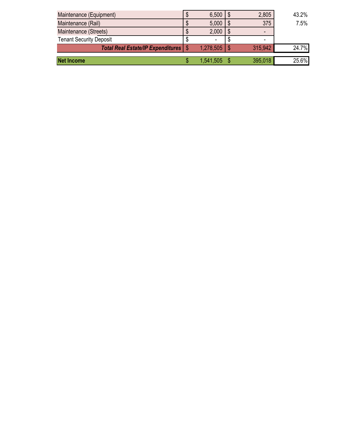| Maintenance (Equipment)                       | S  | $6,500$   \$     | 2,805   | 43.2% |
|-----------------------------------------------|----|------------------|---------|-------|
| Maintenance (Rail)                            |    | $5,000$   \$     | 375     | 7.5%  |
| Maintenance (Streets)                         | ۰D | 2,000            | -       |       |
| <b>Tenant Security Deposit</b>                | S  |                  | ۰       |       |
| <b>Total Real Estate/IP Expenditures   \$</b> |    | $1,278,505$   \$ | 315,942 | 24.7% |
| <b>Net Income</b>                             |    | 1,541,505 \$     | 395,018 | 25.6% |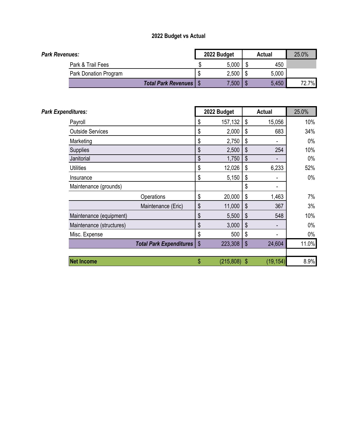| Park Revenues: |                                 | 2022 Budget | Actual | 25.0% |
|----------------|---------------------------------|-------------|--------|-------|
|                | Park & Trail Fees               | 5,000       | 450    |       |
|                | Park Donation Program           | 2,500       | 5,000  |       |
|                | <b>Total Park Revenues   \$</b> | 7,500       | 5,450  | 72.7% |

| Park Expenditures:       |                                      | 2022 Budget |     | <b>Actual</b> | 25.0% |  |
|--------------------------|--------------------------------------|-------------|-----|---------------|-------|--|
| Payroll                  | \$                                   | 157,132     | \$  | 15,056        | 10%   |  |
| <b>Outside Services</b>  | \$                                   | 2,000       | \$  | 683           | 34%   |  |
| Marketing                | \$                                   | 2,750       | \$  |               | $0\%$ |  |
| Supplies                 | \$                                   | 2,500       | \$  | 254           | 10%   |  |
| Janitorial               | \$                                   | 1,750       | \$  |               | $0\%$ |  |
| <b>Utilities</b>         | \$                                   | 12,026      | \$  | 6,233         | 52%   |  |
| Insurance                | \$                                   | 5,150       | \$  |               | $0\%$ |  |
| Maintenance (grounds)    |                                      |             | \$  | -             |       |  |
| Operations               | \$                                   | 20,000      | \$  | 1,463         | 7%    |  |
| Maintenance (Eric)       | \$                                   | 11,000      | \$  | 367           | 3%    |  |
| Maintenance (equipment)  | \$                                   | 5,500       | \$  | 548           | 10%   |  |
| Maintenance (structures) | \$                                   | 3,000       | \$  |               | $0\%$ |  |
| Misc. Expense            | \$                                   | 500         | \$  |               | $0\%$ |  |
|                          | \$<br><b>Total Park Expenditures</b> | 223,308     | \$  | 24,604        | 11.0% |  |
|                          |                                      |             |     |               |       |  |
| <b>Net Income</b>        | \$                                   | (215, 808)  | -\$ | (19, 154)     | 8.9%  |  |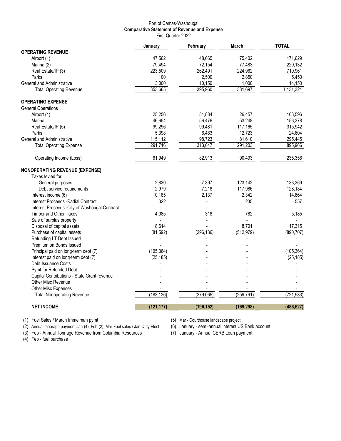#### Port of Camas-Washougal **Comparative Statement of Revenue and Expense** First Quarter 2022

|                                                | January    | February       | <b>March</b> | <b>TOTAL</b> |
|------------------------------------------------|------------|----------------|--------------|--------------|
| <b>OPERATING REVENUE</b>                       |            |                |              |              |
| Airport (1)                                    | 47,562     | 48,665         | 75,402       | 171,629      |
| Marina (2)                                     | 79,494     | 72,154         | 77,483       | 229,132      |
| Real Estate/IP (3)                             | 223,509    | 262,491        | 224,962      | 710,961      |
| Parks                                          | 100        | 2,500          | 2,850        | 5,450        |
| General and Administrative                     | 3,000      | 10,150         | 1,000        | 14,150       |
| <b>Total Operating Revenue</b>                 | 353,665    | 395,960        | 381,697      | 1,131,321    |
| <b>OPERATING EXPENSE</b>                       |            |                |              |              |
| <b>General Operations</b>                      |            |                |              |              |
| Airport (4)                                    | 25,256     | 51,884         | 26,457       | 103,596      |
| Marina                                         | 46,654     | 56,476         | 53,248       | 156,378      |
| Real Estate/IP (5)                             | 99,296     | 99,481         | 117,165      | 315,942      |
| Parks                                          | 5,398      | 6,483          | 12,723       | 24,604       |
| General and Administrative                     | 115,112    | 98,723         | 81,610       | 295,445      |
| <b>Total Operating Expense</b>                 | 291,716    | 313,047        | 291,203      | 895,966      |
| Operating Income (Loss)                        | 61,949     | 82,913         | 90,493       | 235,356      |
| <b>NONOPERATING REVENUE (EXPENSE)</b>          |            |                |              |              |
| Taxes levied for:                              |            |                |              |              |
| General purposes                               | 2,830      | 7,397          | 123,142      | 133,369      |
| Debt service requirements                      | 2,979      | 7,218          | 117,986      | 128,184      |
| Interest income (6)                            | 10,185     | 2,137          | 2,342        | 14,664       |
| <b>Interest Proceeds -Radial Contract</b>      | 322        | $\overline{a}$ | 235          | 557          |
| Interest Proceeds - City of Washougal Contract |            |                |              |              |
| <b>Timber and Other Taxes</b>                  | 4,085      | 318            | 782          | 5,185        |
| Sale of surplus property                       |            |                |              |              |
| Disposal of capital assets                     | 8,614      |                | 8,701        | 17,315       |
| Purchase of capital assets                     | (81, 592)  | (296, 136)     | (512, 979)   | (890, 707)   |
| Refunding LT Debt Issued                       |            |                |              |              |
| Premium on Bonds Issued                        |            |                |              |              |
| Principal paid on long-term debt (7)           | (105, 364) |                |              | (105, 364)   |
| Interest paid on long-term debt (7)            | (25, 185)  |                |              | (25, 185)    |
| Debt Issuance Costs                            |            |                |              |              |
| Pymt for Refunded Debt                         |            |                |              |              |
| Capital Contributions - State Grant revenue    |            |                |              |              |
| Other Misc Revenue                             |            |                |              |              |
| Other Misc Expenses                            |            |                |              |              |
| <b>Total Nonoperating Revenue</b>              | (183, 126) | (279,065)      | (259, 791)   | (721, 983)   |
| <b>NET INCOME</b>                              | (121, 177) | (196, 152)     | (169, 298)   | (486, 627)   |

(1) Fuel Sales / March Immelman pymt (5) Mar - Courthouse landscape project

(2) Annual moorage payment Jan-(4), Feb-(2), Mar-Fuel sales / Jan Qtrly Elect (6) January - semi-annual interest US Bank account (3) Feb - Annual Tonnage Revenue from Columbia Resources (7) January - Annual CERB Loan payme (3) Feb - Annual Tonnage Revenue from Columbia Resources

 $(4)$  Feb - fuel purchase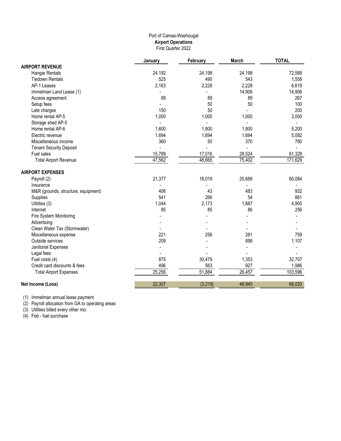#### Port of Camas-Washougal **Airport Operations** First Quarter 2022

|                                     | January | February | March  | <b>TOTAL</b> |
|-------------------------------------|---------|----------|--------|--------------|
| <b>AIRPORT REVENUE</b>              |         |          |        |              |
| Hangar Rentals                      | 24,192  | 24,198   | 24,198 | 72,589       |
| <b>Tiedown Rentals</b>              | 525     | 490      | 543    | 1,558        |
| AP-1 Leases                         | 2,163   | 2,228    | 2,228  | 6,619        |
| Immelman Land Lease (1)             |         |          | 14,906 | 14,906       |
| Access agreement                    | 89      | 89       | 89     | 267          |
| Setup fees                          |         | 50       | 50     | 100          |
| Late charges                        | 150     | 50       |        | 200          |
| Home rental AP-5                    | 1,000   | 1,000    | 1,000  | 3,000        |
| Storage shed AP-5                   |         |          |        |              |
| Home rental AP-6                    | 1,600   | 1,800    | 1,800  | 5,200        |
| Electric revenue                    | 1,694   | 1,694    | 1,694  | 5,082        |
| Miscellaneous income                | 360     | 50       | 370    | 780          |
| <b>Tenant Security Deposit</b>      |         |          |        |              |
| Fuel sales                          | 15,789  | 17,016   | 28,524 | 61,328       |
| <b>Total Airport Revenue</b>        | 47,562  | 48,665   | 75,402 | 171,629      |
| <b>AIRPORT EXPENSES</b>             |         |          |        |              |
| Payroll (2)                         | 21,377  | 18,019   | 20,688 | 60,084       |
| Insurance                           |         |          |        |              |
| M&R (grounds, structure, equipment) | 406     | 43       | 483    | 932          |
| Supplies                            | 541     | 266      | 54     | 861          |
| Utilities (3)                       | 1,044   | 2,173    | 1,687  | 4,905        |
| Internet                            | 85      | 85       | 86     | 256          |
| Fire System Monitoring              |         |          |        |              |
| Advertising                         |         |          |        |              |
| Clean Water Tax (Stormwater)        |         |          |        |              |
| Miscellaneous expense               | 221     | 256      | 281    | 759          |
| Outside services                    | 209     |          | 898    | 1,107        |
| Janitorial Expenses                 |         |          |        |              |
| Legal fees                          |         |          |        |              |
| Fuel costs (4)                      | 875     | 30,479   | 1,353  | 32,707       |
| Credit card discounts & fees        | 496     | 563      | 927    | 1,986        |
| <b>Total Airport Expenses</b>       | 25,256  | 51,884   | 26,457 | 103,596      |
| Net Income (Loss)                   | 22,307  | (3, 219) | 48,945 | 68,033       |
|                                     |         |          |        |              |

(1) Immelman annual lease payment

(2) Payroll allocation from GA to operating areas

(3) Utilities billed every other mo.

(4) Feb - fuel purchase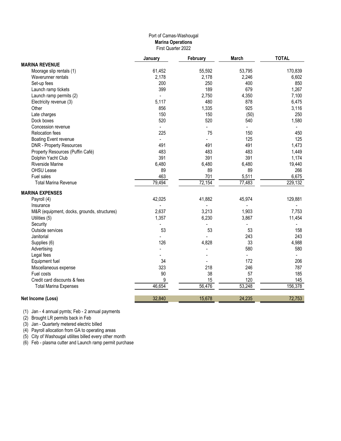### Port of Camas-Washougal **Marina Operations** First Quarter 2022

|                                             | January | February       | <b>March</b> | <b>TOTAL</b> |
|---------------------------------------------|---------|----------------|--------------|--------------|
| <b>MARINA REVENUE</b>                       |         |                |              |              |
| Moorage slip rentals (1)                    | 61,452  | 55,592         | 53,795       | 170,839      |
| Waverunner rentals                          | 2,178   | 2,178          | 2,246        | 6,602        |
| Set-up fees                                 | 200     | 250            | 400          | 850          |
| Launch ramp tickets                         | 399     | 189            | 679          | 1,267        |
| Launch ramp permits (2)                     |         | 2,750          | 4,350        | 7,100        |
| Electricity revenue (3)                     | 5,117   | 480            | 878          | 6,475        |
| Other                                       | 856     | 1,335          | 925          | 3,116        |
| Late charges                                | 150     | 150            | (50)         | 250          |
| Dock boxes                                  | 520     | 520            | 540          | 1,580        |
| Concession revenue                          |         | $\overline{a}$ |              |              |
| <b>Relocation fees</b>                      | 225     | 75             | 150          | 450          |
| Boating Event revenue                       |         |                | 125          | 125          |
| <b>DNR - Property Resources</b>             | 491     | 491            | 491          | 1,473        |
| Property Resources (Puffin Café)            | 483     | 483            | 483          | 1,449        |
| Dolphin Yacht Club                          | 391     | 391            | 391          | 1,174        |
| <b>Riverside Marine</b>                     | 6,480   | 6,480          | 6,480        | 19,440       |
| OHSU Lease                                  | 89      | 89             | 89           | 266          |
| Fuel sales                                  | 463     | 701            | 5,511        | 6,675        |
| <b>Total Marina Revenue</b>                 | 79,494  | 72,154         | 77,483       | 229,132      |
| <b>MARINA EXPENSES</b>                      |         |                |              |              |
| Payroll (4)                                 | 42,025  | 41,882         | 45,974       | 129,881      |
| Insurance                                   |         |                |              |              |
| M&R (equipment, docks, grounds, structures) | 2,637   | 3,213          | 1,903        | 7,753        |
| Utilities (5)                               | 1,357   | 6,230          | 3,867        | 11,454       |
| Security                                    |         |                |              |              |
| Outside services                            | 53      | 53             | 53           | 158          |
| Janitorial                                  |         |                | 243          | 243          |
| Supplies (6)                                | 126     | 4,828          | 33           | 4,988        |
| Advertising                                 |         |                | 580          | 580          |
| Legal fees                                  |         |                |              |              |
| Equipment fuel                              | 34      |                | 172          | 206          |
| Miscellaneous expense                       | 323     | 218            | 246          | 787          |
| Fuel costs                                  | 90      | 38             | 57           | 185          |
| Credit card discounts & fees                | 9       | 15             | 120          | 145          |
| <b>Total Marina Expenses</b>                | 46,654  | 56,476         | 53,248       | 156,378      |
| Net Income (Loss)                           | 32,840  | 15,678         | 24,235       | 72,753       |

(1) Jan - 4 annual pymts; Feb - 2 annual payments

(2) Brought LR permits back in Feb

(3) Jan - Quarterly metered electric billed

(4) Payroll allocation from GA to operating areas

(5) City of Washougal utilites billed every other month

(6) Feb - plasma cutter and Launch ramp permit purchase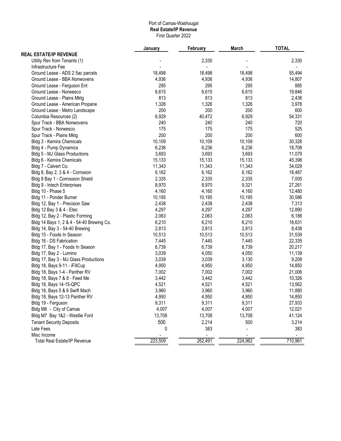#### Port of Camas-Washougal **Real Estate/IP Revenue** First Quarter 2022

|                                           | January | February | <b>March</b> | <b>TOTAL</b> |  |  |
|-------------------------------------------|---------|----------|--------------|--------------|--|--|
| <b>REAL ESTATE/IP REVENUE</b>             |         |          |              |              |  |  |
| Utility Rev from Tenants (1)              |         | 2,330    |              | 2,330        |  |  |
| Infrastructure Fee                        |         |          |              |              |  |  |
| Ground Lease - ADS 2 5ac parcels          | 18,498  | 18,498   | 18,498       | 55,494       |  |  |
| Ground Lease - BBA Nonwovens              | 4,936   | 4,936    | 4,936        | 14,807       |  |  |
| Ground Lease - Ferguson Ent               | 295     | 295      | 295          | 885          |  |  |
| Ground Lease - Norwesco                   | 6,615   | 6,615    | 6,615        | 19,846       |  |  |
| Ground Lease - Plains Mktg                | 813     | 813      | 813          | 2,438        |  |  |
| Ground Lease - American Propane           | 1,326   | 1,326    | 1,326        | 3,978        |  |  |
| Ground Lease - Metro Landscape            | 200     | 200      | 200          | 600          |  |  |
| Columbia Resources (2)                    | 6,929   | 40,472   | 6,929        | 54,331       |  |  |
| Spur Track - BBA Nonwovens                | 240     | 240      | 240          | 720          |  |  |
| Spur Track - Norwesco                     | 175     | 175      | 175          | 525          |  |  |
| Spur Track - Plains Mktg                  | 200     | 200      | 200          | 600          |  |  |
| Bldg 3 - Kemira Chemicals                 | 10,109  | 10,109   | 10,109       | 30,328       |  |  |
| Bldg 4 - Pump Dynamics                    | 6,236   | 6,236    | 6,236        | 18,708       |  |  |
| Bldg 5 - MJ Glass Productions             | 3,693   | 3,693    | 3,693        | 11,079       |  |  |
| Bldg 6 - Kemira Chemicals                 | 15,133  | 15,133   | 15,133       | 45,398       |  |  |
| Bldg 7 - Calvert Co.                      | 11,343  | 11,343   | 11,343       | 34,029       |  |  |
| Bldg 8, Bay 2, 3 & 4 - Corrosion          | 6,162   | 6,162    | 6,162        | 18,487       |  |  |
| Bldg 8 Bay 1 - Corrossion Shield          | 2,335   | 2,335    | 2,335        | 7,005        |  |  |
| Bldg 9 - Intech Enterprises               | 8,970   | 8,970    | 9,321        | 27,261       |  |  |
| Bldg 10 - Phase 5                         | 4,160   | 4,160    | 4,160        | 12,480       |  |  |
| Bldg 11 - Ponder Burner                   | 10,195  | 10,195   | 10,195       | 30,586       |  |  |
| Bldg 12, Bay 1 - Precision Saw            | 2,438   | 2,438    | 2,438        | 7,313        |  |  |
| Bldg 12 Bay 3 & 4 - Etec                  | 4,297   | 4,297    | 4,297        | 12,890       |  |  |
| Bldg 12, Bay 2 - Plastic Forming          | 2,063   | 2,063    | 2,063        | 6,188        |  |  |
| Bldg 14 Bays 1, 2 & 4 - 54-40 Brewing Co. | 6,210   | 6,210    | 6,210        | 18,631       |  |  |
| Bldg 14, Bay 3 - 54-40 Brewing            | 2,813   | 2,813    | 2,813        | 8,438        |  |  |
| Bldg 15 - Foods In Season                 | 10,513  | 10,513   | 10,513       | 31,539       |  |  |
| Bldg 16 - DS Fabrication                  | 7,445   | 7,445    | 7,445        | 22,335       |  |  |
| Bldg 17, Bay 1 - Foods In Season          | 6,739   | 6,739    | 6,739        | 20,217       |  |  |
| Bldg 17, Bay 2 - Lumino                   | 3,039   | 4,050    | 4,050        | 11,139       |  |  |
| Bldg 17, Bay 3 - MJ Glass Productions     | 3,039   | 3,039    | 3,130        | 9,208        |  |  |
| Bldg 18, Bays 9-11 - iFillCup             | 4,950   | 4,950    | 4,950        | 14,850       |  |  |
| Bldg 18, Bays 1-4 - Panther RV            | 7,002   | 7,002    | 7,002        | 21,006       |  |  |
| Bldg 18, Bays 7 & 8 - Feed Me             | 3,442   | 3,442    | 3,442        | 10,326       |  |  |
| Bldg 18, Bays 14-15-QPC                   | 4,521   | 4,521    | 4,521        | 13,562       |  |  |
| Bldg 18, Bays 5 & 6 Swift Mach            | 3,960   | 3,960    | 3,960        | 11,880       |  |  |
| Bldg 18, Bays 12-13 Panther RV            | 4,950   | 4,950    | 4,950        | 14,850       |  |  |
| Bldg 19 - Ferguson                        | 9,311   | 9,311    | 9,311        | 27,933       |  |  |
| Bldg M6 - City of Camas                   | 4,007   | 4,007    | 4,007        | 12,021       |  |  |
| Bldg M7 Bay 1&2 - Westlie Ford            | 13,708  | 13,708   | 13,708       | 41,124       |  |  |
| <b>Tenant Security Deposits</b>           | 500     | 2,214    | 500          | 3,214        |  |  |
| Late Fees                                 | 0       | 383      |              | 383          |  |  |
| Misc Income                               |         |          |              |              |  |  |
| <b>Total Real Estate/IP Revenue</b>       | 223,509 | 262,491  | 224,962      | 710,961      |  |  |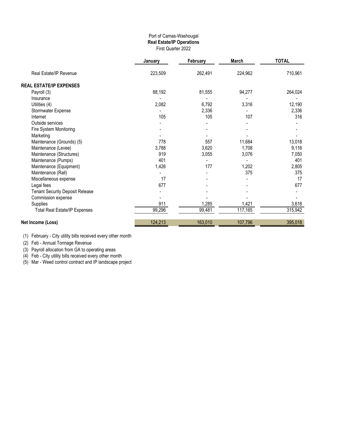#### Port of Camas-Washougal **Real Estate/IP Operations** First Quarter 2022

|                                        | January | February | March   | <b>TOTAL</b> |  |
|----------------------------------------|---------|----------|---------|--------------|--|
| Real Estate/IP Revenue                 | 223,509 | 262,491  | 224,962 | 710,961      |  |
| <b>REAL ESTATE/IP EXPENSES</b>         |         |          |         |              |  |
| Payroll (3)                            | 88,192  | 81,555   | 94,277  | 264,024      |  |
| Insurance                              |         |          |         |              |  |
| Utilities (4)                          | 2,082   | 6,792    | 3,316   | 12,190       |  |
| Stormwater Expense                     |         | 2,336    |         | 2,336        |  |
| Internet                               | 105     | 105      | 107     | 316          |  |
| Outside services                       |         |          |         |              |  |
| Fire System Monitoring                 |         |          |         |              |  |
| Marketing                              |         |          |         |              |  |
| Maintenance (Grounds) (5)              | 778     | 557      | 11,684  | 13,018       |  |
| Maintenance (Levee)                    | 3,788   | 3,620    | 1,708   | 9,116        |  |
| Maintenance (Structures)               | 919     | 3,055    | 3,076   | 7,050        |  |
| Maintenance (Pumps)                    | 401     |          |         | 401          |  |
| Maintenance (Equipment)                | 1,426   | 177      | 1,202   | 2,805        |  |
| Maintenance (Rail)                     |         |          | 375     | 375          |  |
| Miscellaneous expense                  | 17      |          |         | 17           |  |
| Legal fees                             | 677     |          |         | 677          |  |
| <b>Tenant Security Deposit Release</b> |         |          |         |              |  |
| Commission expense                     |         |          |         |              |  |
| Supplies                               | 911     | 1,285    | 1,421   | 3,618        |  |
| <b>Total Real Estate/IP Expenses</b>   | 99,296  | 99,481   | 117,165 | 315,942      |  |
| Net Income (Loss)                      | 124,213 | 163,010  | 107,796 | 395,018      |  |

(1) February - City utility bills received every other month

(2) Feb - Annual Tonnage Revenue

(3) Payroll allocation from GA to operating areas

(4) Feb - City utility bills received every other month

(5) Mar - Weed control contract and IP landscape project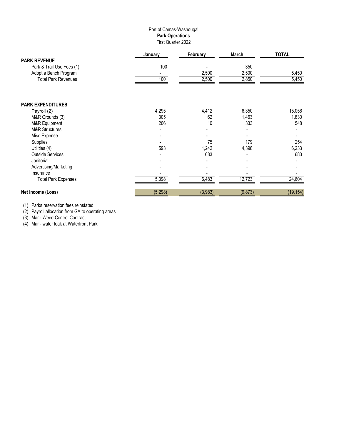#### Port of Camas-Washougal **Park Operations** First Quarter 2022

|                            | January  | February | March    | <b>TOTAL</b> |
|----------------------------|----------|----------|----------|--------------|
| <b>PARK REVENUE</b>        |          |          |          |              |
| Park & Trail Use Fees (1)  | 100      |          | 350      |              |
| Adopt a Bench Program      |          | 2,500    | 2,500    | 5,450        |
| <b>Total Park Revenues</b> | 100      | 2,500    | 2,850    | 5,450        |
|                            |          |          |          |              |
| <b>PARK EXPENDITURES</b>   |          |          |          |              |
| Payroll (2)                | 4,295    | 4,412    | 6,350    | 15,056       |
| M&R Grounds (3)            | 305      | 62       | 1,463    | 1,830        |
| M&R Equipment              | 206      | 10       | 333      | 548          |
| <b>M&amp;R Structures</b>  |          |          |          |              |
| Misc Expense               |          |          |          |              |
| Supplies                   |          | 75       | 179      | 254          |
| Utilities (4)              | 593      | 1,242    | 4,398    | 6,233        |
| <b>Outside Services</b>    |          | 683      |          | 683          |
| Janitorial                 |          |          |          |              |
| Advertising/Marketing      |          |          |          |              |
| Insurance                  |          |          |          |              |
| <b>Total Park Expenses</b> | 5,398    | 6,483    | 12,723   | 24,604       |
| Net Income (Loss)          | (5, 298) | (3,983)  | (9, 873) | (19, 154)    |

(1) Parks reservation fees reinstated

(2) Payroll allocation from GA to operating areas

(3) Mar - Weed Control Contract

(4) Mar - water leak at Waterfront Park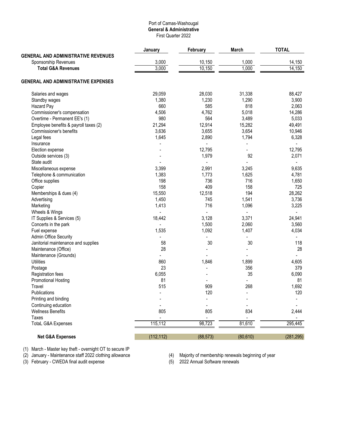#### Port of Camas-Washougal **General & Administrative** First Quarter 2022

|                                            | January    | February                 | March     | <b>TOTAL</b> |
|--------------------------------------------|------------|--------------------------|-----------|--------------|
| <b>GENERAL AND ADMINISTRATIVE REVENUES</b> |            |                          |           |              |
| Sponsorship Revenues                       | 3,000      | 10,150                   | 1,000     | 14,150       |
| <b>Total G&amp;A Revenues</b>              | 3,000      | 10,150                   | 1,000     | 14,150       |
| <b>GENERAL AND ADMINISTRATIVE EXPENSES</b> |            |                          |           |              |
| Salaries and wages                         | 29,059     | 28,030                   | 31,338    | 88,427       |
| Standby wages                              | 1,380      | 1,230                    | 1,290     | 3,900        |
| <b>Hazard Pay</b>                          | 660        | 585                      | 818       | 2,063        |
| Commissioner's compensation                | 4,506      | 4,762                    | 5,018     | 14,286       |
| Overtime - Permanent EE's (1)              | 980        | 564                      | 3,489     | 5,033        |
| Employee benefits & payroll taxes (2)      | 21,294     | 12,914                   | 15,282    | 49,491       |
| Commissioner's benefits                    | 3,636      | 3,655                    | 3,654     | 10,946       |
| Legal fees                                 | 1,645      | 2,890                    | 1,794     | 6,328        |
| Insurance                                  |            |                          |           |              |
| Election expense                           |            | 12,795                   |           | 12,795       |
| Outside services (3)                       |            | 1,979                    | 92        | 2,071        |
| State audit                                |            | $\overline{\phantom{0}}$ |           |              |
| Miscellaneous expense                      | 3,399      | 2,991                    | 3,245     | 9,635        |
| Telephone & communication                  | 1,383      | 1,773                    | 1,625     | 4,781        |
| Office supplies                            | 198        | 736                      | 716       | 1,650        |
| Copier                                     | 158        | 409                      | 158       | 725          |
| Memberships & dues (4)                     | 15,550     | 12,518                   | 194       | 28,262       |
|                                            | 1,450      | 745                      |           |              |
| Advertising                                |            | 716                      | 1,541     | 3,736        |
| Marketing                                  | 1,413      |                          | 1,096     | 3,225        |
| Wheels & Wings                             |            |                          |           |              |
| IT Supplies & Services (5)                 | 18,442     | 3,128                    | 3,371     | 24,941       |
| Concerts in the park                       |            | 1,500                    | 2,060     | 3,560        |
| Fuel expense                               | 1,535      | 1,092                    | 1,407     | 4,034        |
| Admin Office Security                      |            |                          |           |              |
| Janitorial maintenance and supplies        | 58         | 30                       | 30        | 118          |
| Maintenance (Office)                       | 28         |                          |           | 28           |
| Maintenance (Grounds)                      |            |                          |           |              |
| <b>Utilities</b>                           | 860        | 1,846                    | 1,899     | 4,605        |
| Postage                                    | 23         | $\overline{\phantom{0}}$ | 356       | 379          |
| <b>Registration fees</b>                   | 6,055      |                          | 35        | 6,090        |
| <b>Promotional Hosting</b>                 | 81         |                          |           | 81           |
| Travel                                     | 515        | 909                      | 268       | 1,692        |
| Publications                               | L,         | 120                      | ÷,        | 120          |
| Printing and binding                       |            |                          |           |              |
| Continuing education                       |            |                          |           |              |
| <b>Wellness Benefits</b>                   | 805        | 805                      | 834       | 2,444        |
| Taxes                                      |            |                          |           |              |
| <b>TotaL G&amp;A Expenses</b>              | 115,112    | 98,723                   | 81,610    | 295,445      |
| <b>Net G&amp;A Expenses</b>                | (112, 112) | (88, 573)                | (80, 610) | (281, 295)   |

(1) March - Master key theft - overnight OT to secure IP

(2) January - Maintenance staff 2022 clothing allowance (4) Majority of membership renewals beginning of year (3) Halter match hoy their cremigm of the escale in the cremic of the Majority of membership renewals beginning of year<br>
(3) Tebruary - CWEDA final audit expense (5) 2022 Annual Software renewals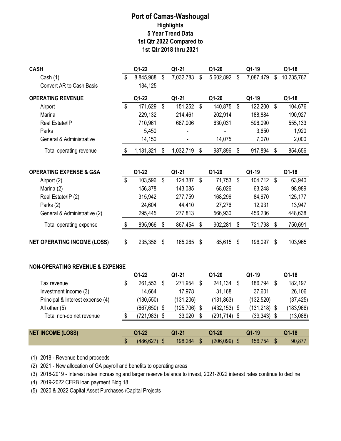| <b>CASH</b>                                |                           | Q1-22           |                           | Q1-21           |                           | Q1-20           |                           | Q1-19           |                           | Q1-18      |
|--------------------------------------------|---------------------------|-----------------|---------------------------|-----------------|---------------------------|-----------------|---------------------------|-----------------|---------------------------|------------|
| Cash $(1)$                                 | \$                        | 8,845,988       | \$                        | 7,032,783       | \$                        | 5,602,892       | \$                        | 7,087,479       | \$                        | 10,235,787 |
| <b>Convert AR to Cash Basis</b>            |                           | 134,125         |                           |                 |                           |                 |                           |                 |                           |            |
| <b>OPERATING REVENUE</b>                   |                           | Q1-22           |                           | $Q1-21$         |                           | Q1-20           |                           | Q1-19           |                           | Q1-18      |
| Airport                                    | \$                        | 171,629         | \$                        | 151,252         | $\boldsymbol{\mathsf{S}}$ | 140,875         | \$                        | 122,200         | $\boldsymbol{\mathsf{S}}$ | 104,676    |
| Marina                                     |                           | 229,132         |                           | 214,461         |                           | 202,914         |                           | 188,884         |                           | 190,927    |
| Real Estate/IP                             |                           | 710,961         |                           | 667,006         |                           | 630,031         |                           | 596,090         |                           | 555,133    |
| Parks                                      |                           | 5,450           |                           |                 |                           |                 |                           | 3,650           |                           | 1,920      |
| General & Administrative                   |                           | 14,150          |                           |                 |                           | 14,075          |                           | 7,070           |                           | 2,000      |
| Total operating revenue                    | \$                        | 1,131,321       | \$                        | 1,032,719       | \$                        | 987,896         | \$                        | 917,894         | \$                        | 854,656    |
| <b>OPERATING EXPENSE &amp; G&amp;A</b>     |                           | Q1-22           |                           | Q1-21           |                           | Q1-20           |                           | Q1-19           |                           | Q1-18      |
| Airport (2)                                | $\boldsymbol{\mathsf{S}}$ | 103,596         | $\boldsymbol{\mathsf{S}}$ | 124,387         | \$                        | 71,753          | $\sqrt[6]{\frac{1}{2}}$   | 104,712         | $\boldsymbol{\mathsf{S}}$ | 63,940     |
| Marina (2)                                 |                           | 156,378         |                           | 143,085         |                           | 68,026          |                           | 63,248          |                           | 98,989     |
| Real Estate/IP (2)                         |                           | 315,942         |                           | 277,759         |                           | 168,296         |                           | 84,670          |                           | 125,177    |
| Parks (2)                                  |                           | 24,604          |                           | 44,410          |                           | 27,276          |                           | 12,931          |                           | 13,947     |
| General & Administrative (2)               |                           | 295,445         |                           | 277,813         |                           | 566,930         |                           | 456,236         |                           | 448,638    |
| Total operating expense                    | \$                        | 895,966         | \$                        | 867,454         | \$                        | 902,281         | \$                        | 721,798         | $\boldsymbol{\mathsf{S}}$ | 750,691    |
| <b>NET OPERATING INCOME (LOSS)</b>         | \$                        | 235,356         | \$                        | 165,265         | \$                        | 85,615          | $\boldsymbol{\mathsf{S}}$ | 196,097         | $\boldsymbol{\mathsf{S}}$ | 103,965    |
| <b>NON-OPERATING REVENUE &amp; EXPENSE</b> |                           |                 |                           |                 |                           |                 |                           |                 |                           |            |
|                                            |                           | Q1-22           |                           | Q1-21           |                           | $Q1-20$         |                           | Q1-19           |                           | Q1-18      |
| Tax revenue                                | \$                        | 261,553         | \$                        | 271,954         | \$                        | 241,134         | \$                        | 186,794         | $\boldsymbol{\mathsf{S}}$ | 182,197    |
| Investment income (3)                      |                           | 14,664          |                           | 17,978          |                           | 31,168          |                           | 37,601          |                           | 26,106     |
| Principal & Interest expense (4)           |                           | (130, 550)      |                           | (131, 206)      |                           | (131, 863)      |                           | (132, 520)      |                           | (37, 425)  |
| All other (5)                              |                           | $(867, 650)$ \$ |                           | $(125, 706)$ \$ |                           | $(432, 153)$ \$ |                           | $(131, 218)$ \$ |                           | (183, 966) |
| Total non-op net revenue                   | \$                        | (721, 983)      | \$                        | 33,020          | \$                        | (291, 714)      | \$                        | (39, 343)       | \$                        | (13,088)   |
| <b>NET INCOME (LOSS)</b>                   |                           | $Q1-22$         |                           | Q1-21           |                           | Q1-20           |                           | Q1-19           |                           | Q1-18      |
|                                            | \$                        | (486, 627)      | $\sqrt[6]{\frac{1}{2}}$   | 198,284         | $\sqrt[6]{\frac{1}{2}}$   | $(206,099)$ \$  |                           | 156,754         | $\sqrt[6]{\frac{1}{2}}$   | 90,877     |
|                                            |                           |                 |                           |                 |                           |                 |                           |                 |                           |            |

(1) 2018 - Revenue bond proceeds

(2) 2021 - New allocation of GA payroll and benefits to operating areas

(3) 2018-2019 - Interest rates increasing and larger reserve balance to invest, 2021-2022 interest rates continue to decline

(4) 2019-2022 CERB loan payment Bldg 18

(5) 2020 & 2022 Capital Asset Purchases /Capital Projects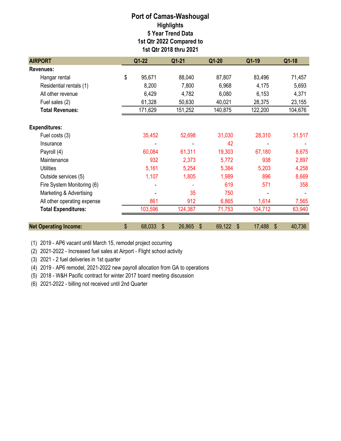| <b>AIRPORT</b>               | $Q1-22$<br>Q1-21   |              | Q1-20                               | Q1-19        | Q1-18   |  |
|------------------------------|--------------------|--------------|-------------------------------------|--------------|---------|--|
| <b>Revenues:</b>             |                    |              |                                     |              |         |  |
| Hangar rental                | \$<br>95,671       | 88,040       | 87,807                              | 83,496       | 71,457  |  |
| Residential rentals (1)      | 8,200              | 7,800        | 6,968                               | 4,175        | 5,693   |  |
| All other revenue            | 6,429              | 4,782        | 6,080                               | 6,153        | 4,371   |  |
| Fuel sales (2)               | 61,328             | 50,630       | 40,021                              | 28,375       | 23,155  |  |
| <b>Total Revenues:</b>       | 171,629            | 151,252      | 140,875                             | 122,200      | 104,676 |  |
| <b>Expenditures:</b>         |                    |              |                                     |              |         |  |
| Fuel costs (3)               | 35,452             | 52,698       | 31,030                              | 28,310       | 31,517  |  |
| Insurance                    |                    |              | 42                                  |              |         |  |
| Payroll (4)                  | 60,084             | 61,311       | 19,303                              | 67,180       | 8,675   |  |
| Maintenance                  | 932                | 2,373        | 5,772                               | 938          | 2,897   |  |
| <b>Utilities</b>             | 5,161              | 5,254        | 5,384                               | 5,203        | 4,258   |  |
| Outside services (5)         | 1,107              | 1,805        | 1,989                               | 896          | 8,669   |  |
| Fire System Monitoring (6)   |                    |              | 619                                 | 571          | 358     |  |
| Marketing & Advertising      |                    | 35           | 750                                 |              |         |  |
| All other operating expense  | 861                | 912          | 6,865                               | 1,614        | 7,565   |  |
| <b>Total Expenditures:</b>   | 103,596            | 124,387      | 71,753                              | 104,712      | 63,940  |  |
| <b>Net Operating Income:</b> | \$<br>68,033<br>\$ | 26,865<br>\$ | 69,122<br>$\boldsymbol{\mathsf{S}}$ | \$<br>17,488 | 40,736  |  |

(1) 2019 - AP6 vacant until March 15, remodel project occurring

(2) 2021-2022 - Increased fuel sales at Airport - Flight school activity

(3) 2021 - 2 fuel deliveries in 1st quarter

(4) 2019 - AP6 remodel, 2021-2022 new payroll allocation from GA to operations

(5) 2018 - W&H Pacific contract for winter 2017 board meeting discussion

(6) 2021-2022 - billing not received until 2nd Quarter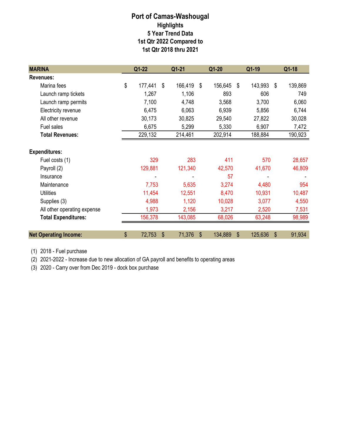| <b>MARINA</b>                | Q1-22         | $Q1 - 21$     | $Q1-20$                           | Q1-19         | Q1-18         |  |
|------------------------------|---------------|---------------|-----------------------------------|---------------|---------------|--|
| <b>Revenues:</b>             |               |               |                                   |               |               |  |
| Marina fees                  | \$<br>177,441 | \$<br>166,419 | 156,645<br>\$                     | 143,993<br>\$ | \$<br>139,869 |  |
| Launch ramp tickets          | 1,267         | 1,106         | 893                               | 606           | 749           |  |
| Launch ramp permits          | 7,100         | 4,748         | 3,568                             | 3,700         | 6,060         |  |
| Electricity revenue          | 6,475         | 6,063         | 6,939                             | 5,856         | 6,744         |  |
| All other revenue            | 30,173        | 30,825        | 29,540                            | 27,822        | 30,028        |  |
| Fuel sales                   | 6,675         | 5,299         | 5,330                             | 6,907         | 7,472         |  |
| <b>Total Revenues:</b>       | 229,132       | 214,461       | 202,914                           | 188,884       | 190,923       |  |
|                              |               |               |                                   |               |               |  |
| <b>Expenditures:</b>         |               |               |                                   |               |               |  |
| Fuel costs (1)               | 329           | 283           | 411                               | 570           | 28,657        |  |
| Payroll (2)                  | 129,881       | 121,340       | 42,570                            | 41,670        | 46,809        |  |
| Insurance                    |               |               | 57                                |               |               |  |
| Maintenance                  | 7,753         | 5,635         | 3,274                             | 4,480         | 954           |  |
| <b>Utilities</b>             | 11,454        | 12,551        | 8,470                             | 10,931        | 10,487        |  |
| Supplies (3)                 | 4,988         | 1,120         | 10,028                            | 3,077         | 4,550         |  |
| All other operating expense  | 1,973         | 2,156         | 3,217                             | 2,520         | 7,531         |  |
| <b>Total Expenditures:</b>   | 156,378       | 143,085       | 68,026                            | 63,248        | 98,989        |  |
| <b>Net Operating Income:</b> | \$<br>72,753  | \$<br>71,376  | $\boldsymbol{\hat{s}}$<br>134,889 | \$<br>125,636 | \$<br>91,934  |  |

(1) 2018 - Fuel purchase

(2) 2021-2022 - Increase due to new allocation of GA payroll and benefits to operating areas

(3) 2020 - Carry over from Dec 2019 - dock box purchase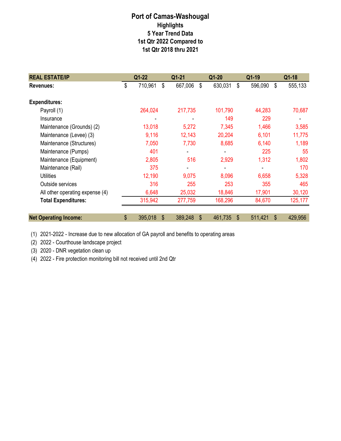| <b>REAL ESTATE/IP</b>           | $Q1-22$       |               | Q1-21          |    |         | Q1-19         | Q1-18                     |
|---------------------------------|---------------|---------------|----------------|----|---------|---------------|---------------------------|
| Revenues:                       | \$            | 710,961<br>\$ | 667,006        | \$ | 630,031 | \$<br>596,090 | \$<br>555,133             |
| <b>Expenditures:</b>            |               |               |                |    |         |               |                           |
| Payroll (1)                     |               | 264,024       | 217,735        |    | 101,790 | 44,283        | 70,687                    |
| Insurance                       |               |               |                |    | 149     | 229           |                           |
| Maintenance (Grounds) (2)       |               | 13,018        | 5,272          |    | 7,345   | 1,466         | 3,585                     |
| Maintenance (Levee) (3)         |               | 9,116         | 12,143         |    | 20,204  | 6,101         | 11,775                    |
| Maintenance (Structures)        |               | 7,050         | 7,730          |    | 8,685   | 6,140         | 1,189                     |
| Maintenance (Pumps)             |               | 401           | $\overline{a}$ |    |         | 225           | 55                        |
| Maintenance (Equipment)         |               | 2,805         | 516            |    | 2,929   | 1,312         | 1,802                     |
| Maintenance (Rail)              |               | 375           |                |    |         |               | 170                       |
| <b>Utilities</b>                |               | 12,190        | 9,075          |    | 8,096   | 6,658         | 5,328                     |
| Outside services                |               | 316           | 255            |    | 253     | 355           | 465                       |
| All other operating expense (4) |               | 6,648         | 25,032         |    | 18,846  | 17,901        | 30,120                    |
| <b>Total Expenditures:</b>      |               | 315,942       | 277,759        |    | 168,296 | 84,670        | 125,177                   |
| <b>Net Operating Income:</b>    | $\frac{2}{3}$ | 395,018<br>\$ | 389,248        | \$ | 461,735 | 511,421<br>\$ | $\mathfrak{S}$<br>429,956 |

(1) 2021-2022 - Increase due to new allocation of GA payroll and benefits to operating areas

(2) 2022 - Courthouse landscape project

(3) 2020 - DNR vegetation clean up

(4) 2022 - Fire protection monitoring bill not received until 2nd Qtr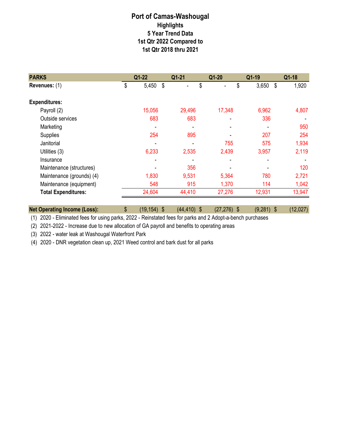| <b>PARKS</b>               | $Q1-22$ | $Q1 - 21$ | Q1-20  | Q1-19       | Q1-18       |
|----------------------------|---------|-----------|--------|-------------|-------------|
| \$<br>Revenues: (1)        | 5,450   | -\$       | \$     | \$<br>3,650 | 1,920<br>\$ |
| <b>Expenditures:</b>       |         |           |        |             |             |
| Payroll (2)                | 15,056  | 29,496    | 17,348 | 6,962       | 4,807       |
| Outside services           | 683     | 683       |        | 336         |             |
| Marketing                  |         | ۰         |        |             | 950         |
| Supplies                   | 254     | 895       |        | 207         | 254         |
| Janitorial                 |         |           | 755    | 575         | 1,934       |
| Utilities (3)              | 6,233   | 2,535     | 2,439  | 3,957       | 2,119       |
| Insurance                  |         |           |        |             |             |
| Maintenance (structures)   |         | 356       |        |             | 120         |
| Maintenance (grounds) (4)  | 1,830   | 9,531     | 5,364  | 780         | 2,721       |
| Maintenance (equipment)    | 548     | 915       | 1,370  | 114         | 1,042       |
| <b>Total Expenditures:</b> | 24,604  | 44,410    | 27,276 | 12,931      | 13,947      |
|                            |         |           |        |             |             |

**Net Operating Income (Loss):**  $\qquad$  \$ (19,154) \$ (44,410) \$ (27,276) \$ (9,281) \$ (12,027) (1) 2020 - Eliminated fees for using parks, 2022 - Reinstated fees for parks and 2 Adopt-a-bench purchases

(2) 2021-2022 - Increase due to new allocation of GA payroll and benefits to operating areas

(3) 2022 - water leak at Washougal Waterfront Park

(4) 2020 - DNR vegetation clean up, 2021 Weed control and bark dust for all parks